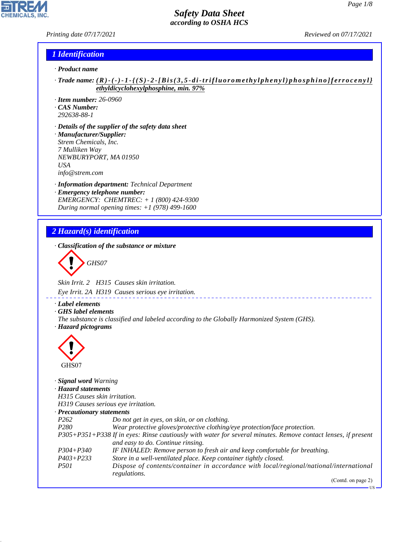*Printing date 07/17/2021 Reviewed on 07/17/2021*

**CHEMICALS, INC.** 

## *1 Identification*

- *· Product name*
- *· Trade name: ( R ) ( ) 1 { ( S ) 2 [ B i s ( 3 , 5 d i t rifluoromethylphenyl)phosphino]ferrocenyl} ethyldicyclohexylphosphine, min. 97%*
- *· Item number: 26-0960*
- *· CAS Number:*
- *292638-88-1*
- *· Details of the supplier of the safety data sheet · Manufacturer/Supplier: Strem Chemicals, Inc. 7 Mulliken Way NEWBURYPORT, MA 01950 USA info@strem.com*
- *· Information department: Technical Department · Emergency telephone number: EMERGENCY: CHEMTREC: + 1 (800) 424-9300 During normal opening times: +1 (978) 499-1600*

## *2 Hazard(s) identification*

*· Classification of the substance or mixture*

$$
\bigotimes \mathrm{GH}S07
$$

*Skin Irrit. 2 H315 Causes skin irritation.*

*Eye Irrit. 2A H319 Causes serious eye irritation.*

- *· Label elements*
- *· GHS label elements*
- *The substance is classified and labeled according to the Globally Harmonized System (GHS). · Hazard pictograms*



44.1.1

| · <b>Signal word Warning</b>        |                                                                                                               |
|-------------------------------------|---------------------------------------------------------------------------------------------------------------|
| · Hazard statements                 |                                                                                                               |
| H315 Causes skin irritation.        |                                                                                                               |
| H319 Causes serious eye irritation. |                                                                                                               |
| · Precautionary statements          |                                                                                                               |
| P <sub>262</sub>                    | Do not get in eyes, on skin, or on clothing.                                                                  |
| P <sub>280</sub>                    | Wear protective gloves/protective clothing/eye protection/face protection.                                    |
|                                     | P305+P351+P338 If in eyes: Rinse cautiously with water for several minutes. Remove contact lenses, if present |
|                                     | and easy to do. Continue rinsing.                                                                             |
| $P304 + P340$                       | IF INHALED: Remove person to fresh air and keep comfortable for breathing.                                    |
| $P403 + P233$                       | Store in a well-ventilated place. Keep container tightly closed.                                              |
| <i>P501</i>                         | Dispose of contents/container in accordance with local/regional/national/international                        |
|                                     | regulations.<br>$(C_{\text{out}}4_{\text{out}}$ $\ldots$ $(2)$                                                |
|                                     |                                                                                                               |

(Contd. on page 2)

US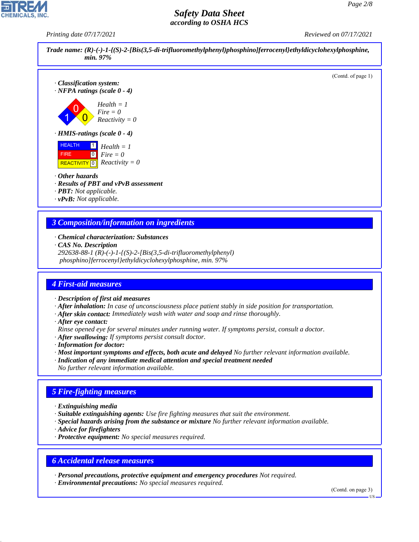*Printing date 07/17/2021 Reviewed on 07/17/2021*



- *· Chemical characterization: Substances*
- *· CAS No. Description*

*292638-88-1 (R)-(-)-1-{(S)-2-[Bis(3,5-di-trifluoromethylphenyl) phosphino]ferrocenyl}ethyldicyclohexylphosphine, min. 97%*

### *4 First-aid measures*

- *· Description of first aid measures*
- *· After inhalation: In case of unconsciousness place patient stably in side position for transportation.*
- *· After skin contact: Immediately wash with water and soap and rinse thoroughly.*
- *· After eye contact:*
- *Rinse opened eye for several minutes under running water. If symptoms persist, consult a doctor.*
- *· After swallowing: If symptoms persist consult doctor.*
- *· Information for doctor:*
- *· Most important symptoms and effects, both acute and delayed No further relevant information available.*
- *· Indication of any immediate medical attention and special treatment needed No further relevant information available.*

## *5 Fire-fighting measures*

- *· Extinguishing media*
- *· Suitable extinguishing agents: Use fire fighting measures that suit the environment.*
- *· Special hazards arising from the substance or mixture No further relevant information available.*
- *· Advice for firefighters*

44.1.1

*· Protective equipment: No special measures required.*

#### *6 Accidental release measures*

*· Personal precautions, protective equipment and emergency procedures Not required.*

*· Environmental precautions: No special measures required.*

(Contd. on page 3)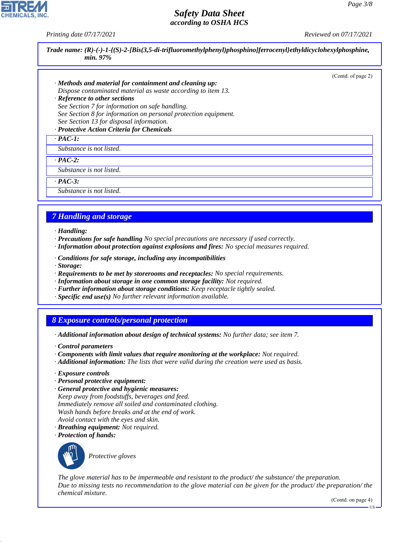*Printing date 07/17/2021 Reviewed on 07/17/2021*

*Trade name: (R)-(-)-1-{(S)-2-[Bis(3,5-di-trifluoromethylphenyl)phosphino]ferrocenyl}ethyldicyclohexylphosphine, min. 97%*

(Contd. of page 2)

*· Methods and material for containment and cleaning up:*

*Dispose contaminated material as waste according to item 13.*

*· Reference to other sections*

*See Section 7 for information on safe handling.*

*See Section 8 for information on personal protection equipment. See Section 13 for disposal information.*

*· Protective Action Criteria for Chemicals*

*· PAC-1:*

*Substance is not listed.*

*· PAC-2:*

*Substance is not listed.*

*· PAC-3:*

*Substance is not listed.*

## *7 Handling and storage*

- *· Handling:*
- *· Precautions for safe handling No special precautions are necessary if used correctly.*
- *· Information about protection against explosions and fires: No special measures required.*
- *· Conditions for safe storage, including any incompatibilities*
- *· Storage:*
- *· Requirements to be met by storerooms and receptacles: No special requirements.*
- *· Information about storage in one common storage facility: Not required.*
- *· Further information about storage conditions: Keep receptacle tightly sealed.*
- *· Specific end use(s) No further relevant information available.*

### *8 Exposure controls/personal protection*

- *· Additional information about design of technical systems: No further data; see item 7.*
- *· Control parameters*
- *· Components with limit values that require monitoring at the workplace: Not required.*
- *· Additional information: The lists that were valid during the creation were used as basis.*
- *· Exposure controls*
- *· Personal protective equipment:*
- *· General protective and hygienic measures: Keep away from foodstuffs, beverages and feed. Immediately remove all soiled and contaminated clothing. Wash hands before breaks and at the end of work.*
- *Avoid contact with the eyes and skin.*
- *· Breathing equipment: Not required.*
- *· Protection of hands:*



44.1.1

\_S*Protective gloves*

*The glove material has to be impermeable and resistant to the product/ the substance/ the preparation. Due to missing tests no recommendation to the glove material can be given for the product/ the preparation/ the chemical mixture.*

(Contd. on page 4)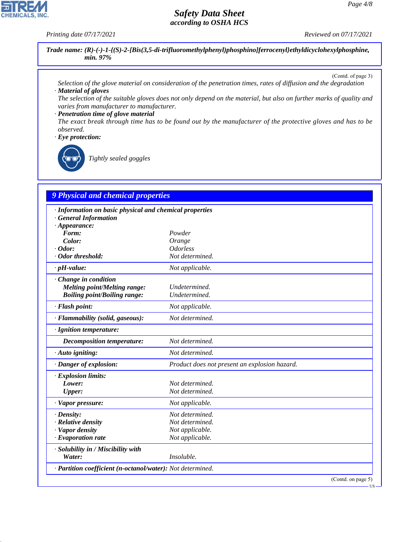*Printing date 07/17/2021 Reviewed on 07/17/2021*

**CHEMICALS, INC.** 

*Trade name: (R)-(-)-1-{(S)-2-[Bis(3,5-di-trifluoromethylphenyl)phosphino]ferrocenyl}ethyldicyclohexylphosphine, min. 97%*

(Contd. of page 3)

- *Selection of the glove material on consideration of the penetration times, rates of diffusion and the degradation · Material of gloves*
- *The selection of the suitable gloves does not only depend on the material, but also on further marks of quality and varies from manufacturer to manufacturer.*

*· Penetration time of glove material*

*The exact break through time has to be found out by the manufacturer of the protective gloves and has to be observed.*

*· Eye protection:*

44.1.1

\_R*Tightly sealed goggles*

## *9 Physical and chemical properties*

| · Information on basic physical and chemical properties    |                                               |  |  |  |
|------------------------------------------------------------|-----------------------------------------------|--|--|--|
| <b>General Information</b><br>$\cdot$ Appearance:          |                                               |  |  |  |
| Form:                                                      | Powder                                        |  |  |  |
| Color:                                                     | Orange                                        |  |  |  |
| $\cdot$ Odor:                                              | <i><u><b>Odorless</b></u></i>                 |  |  |  |
| · Odor threshold:                                          | Not determined.                               |  |  |  |
| $\cdot$ pH-value:                                          | Not applicable.                               |  |  |  |
| · Change in condition                                      |                                               |  |  |  |
| <b>Melting point/Melting range:</b>                        | Undetermined.                                 |  |  |  |
| <b>Boiling point/Boiling range:</b>                        | Undetermined.                                 |  |  |  |
| $\cdot$ Flash point:                                       | Not applicable.                               |  |  |  |
| · Flammability (solid, gaseous):                           | Not determined.                               |  |  |  |
| · Ignition temperature:                                    |                                               |  |  |  |
| <b>Decomposition temperature:</b>                          | Not determined.                               |  |  |  |
| · Auto igniting:                                           | Not determined.                               |  |  |  |
| · Danger of explosion:                                     | Product does not present an explosion hazard. |  |  |  |
| · Explosion limits:                                        |                                               |  |  |  |
| Lower:                                                     | Not determined.                               |  |  |  |
| Upper:                                                     | Not determined.                               |  |  |  |
| · Vapor pressure:                                          | Not applicable.                               |  |  |  |
| $\cdot$ Density:                                           | Not determined.                               |  |  |  |
| · Relative density                                         | Not determined.                               |  |  |  |
| · Vapor density                                            | Not applicable.                               |  |  |  |
| $\cdot$ Evaporation rate                                   | Not applicable.                               |  |  |  |
| · Solubility in / Miscibility with                         |                                               |  |  |  |
| Water:                                                     | Insoluble.                                    |  |  |  |
| · Partition coefficient (n-octanol/water): Not determined. |                                               |  |  |  |
|                                                            | (Contd. on page 5)                            |  |  |  |

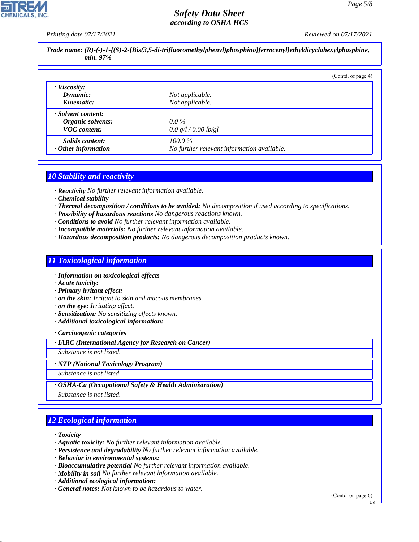*Printing date 07/17/2021 Reviewed on 07/17/2021*

| Trade name: $(R)-(-)-1-(S)-2-[Bis(3,5-di-trifluoromethylphenyl)phosphino[ferrocenyl]ethyldicyclohexylphosphine,$<br>min. 97% |                                            |                    |  |  |
|------------------------------------------------------------------------------------------------------------------------------|--------------------------------------------|--------------------|--|--|
|                                                                                                                              |                                            | (Contd. of page 4) |  |  |
| · Viscosity:                                                                                                                 |                                            |                    |  |  |
| Dynamic:                                                                                                                     | Not applicable.                            |                    |  |  |
| Kinematic:                                                                                                                   | Not applicable.                            |                    |  |  |
| · Solvent content:                                                                                                           |                                            |                    |  |  |
| Organic solvents:                                                                                                            | $0.0\%$                                    |                    |  |  |
| <b>VOC</b> content:                                                                                                          | 0.0 g/l / 0.00 lb/gl                       |                    |  |  |
| <i>Solids content:</i>                                                                                                       | $100.0\%$                                  |                    |  |  |
| $\cdot$ Other information                                                                                                    | No further relevant information available. |                    |  |  |

### *10 Stability and reactivity*

*· Reactivity No further relevant information available.*

- *· Chemical stability*
- *· Thermal decomposition / conditions to be avoided: No decomposition if used according to specifications.*
- *· Possibility of hazardous reactions No dangerous reactions known.*
- *· Conditions to avoid No further relevant information available.*
- *· Incompatible materials: No further relevant information available.*
- *· Hazardous decomposition products: No dangerous decomposition products known.*

## *11 Toxicological information*

- *· Information on toxicological effects*
- *· Acute toxicity:*
- *· Primary irritant effect:*
- *· on the skin: Irritant to skin and mucous membranes.*
- *· on the eye: Irritating effect.*
- *· Sensitization: No sensitizing effects known.*
- *· Additional toxicological information:*

*· Carcinogenic categories*

*· IARC (International Agency for Research on Cancer)*

*Substance is not listed.*

*· NTP (National Toxicology Program)*

*Substance is not listed.*

*· OSHA-Ca (Occupational Safety & Health Administration)*

*Substance is not listed.*

# *12 Ecological information*

*· Toxicity*

44.1.1

- *· Aquatic toxicity: No further relevant information available.*
- *· Persistence and degradability No further relevant information available.*
- *· Behavior in environmental systems:*
- *· Bioaccumulative potential No further relevant information available.*
- *· Mobility in soil No further relevant information available.*
- *· Additional ecological information:*
- *· General notes: Not known to be hazardous to water.*

(Contd. on page 6)



US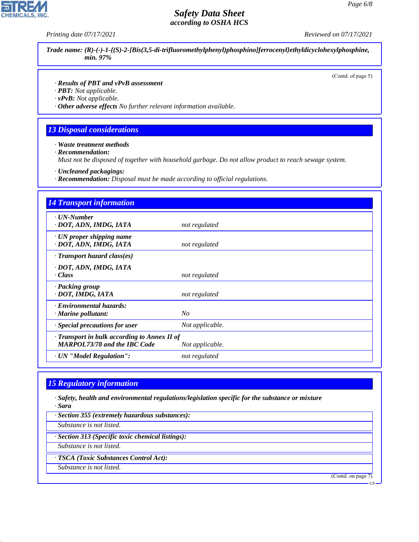*Printing date 07/17/2021 Reviewed on 07/17/2021*

*Trade name: (R)-(-)-1-{(S)-2-[Bis(3,5-di-trifluoromethylphenyl)phosphino]ferrocenyl}ethyldicyclohexylphosphine, min. 97%*

(Contd. of page 5)

- *· Results of PBT and vPvB assessment*
- *· PBT: Not applicable.*
- *· vPvB: Not applicable.*
- *· Other adverse effects No further relevant information available.*

## *13 Disposal considerations*

*· Waste treatment methods*

*· Recommendation:*

*Must not be disposed of together with household garbage. Do not allow product to reach sewage system.*

- *· Uncleaned packagings:*
- *· Recommendation: Disposal must be made according to official regulations.*

| <b>14 Transport information</b>                                                     |                 |
|-------------------------------------------------------------------------------------|-----------------|
| $\cdot$ UN-Number<br>· DOT, ADN, IMDG, IATA                                         | not regulated   |
| $\cdot$ UN proper shipping name<br>· DOT, ADN, IMDG, IATA                           | not regulated   |
| $\cdot$ Transport hazard class(es)                                                  |                 |
| · DOT, ADN, IMDG, IATA<br>· Class                                                   | not regulated   |
| · Packing group<br>· DOT, IMDG, IATA                                                | not regulated   |
| · Environmental hazards:<br>$\cdot$ Marine pollutant:                               | No              |
| · Special precautions for user                                                      | Not applicable. |
| · Transport in bulk according to Annex II of<br><b>MARPOL73/78 and the IBC Code</b> | Not applicable. |
| · UN "Model Regulation":                                                            | not regulated   |

#### *15 Regulatory information*

*· Safety, health and environmental regulations/legislation specific for the substance or mixture · Sara*

*· Section 355 (extremely hazardous substances):*

*Substance is not listed.*

*· Section 313 (Specific toxic chemical listings):*

*Substance is not listed.*

*· TSCA (Toxic Substances Control Act):*

*Substance is not listed.*

44.1.1

(Contd. on page 7)

US

![](_page_5_Picture_26.jpeg)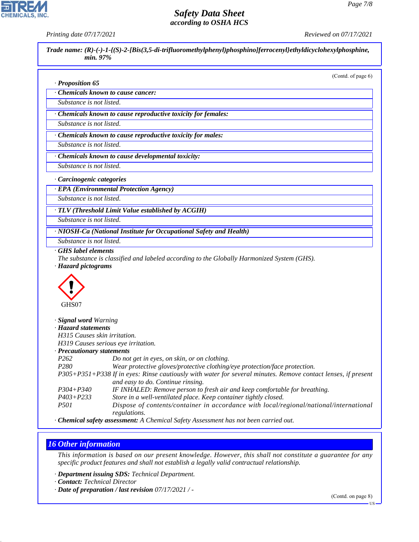**CHEMICALS, INC** 

*Printing date 07/17/2021 Reviewed on 07/17/2021*

*Trade name: (R)-(-)-1-{(S)-2-[Bis(3,5-di-trifluoromethylphenyl)phosphino]ferrocenyl}ethyldicyclohexylphosphine, min. 97%*

(Contd. of page 6)

#### *· Proposition 65*

*· Chemicals known to cause cancer:*

*Substance is not listed.*

*· Chemicals known to cause reproductive toxicity for females:*

*Substance is not listed.*

*· Chemicals known to cause reproductive toxicity for males:*

*Substance is not listed.*

*· Chemicals known to cause developmental toxicity:*

*Substance is not listed.*

*· Carcinogenic categories*

*· EPA (Environmental Protection Agency)*

*Substance is not listed.*

*· TLV (Threshold Limit Value established by ACGIH)*

*Substance is not listed.*

*· NIOSH-Ca (National Institute for Occupational Safety and Health)*

*Substance is not listed.*

*· GHS label elements*

*The substance is classified and labeled according to the Globally Harmonized System (GHS).*

*· Hazard pictograms*

![](_page_6_Picture_25.jpeg)

| Signal word Warning                                                                                           |
|---------------------------------------------------------------------------------------------------------------|
| · Hazard statements                                                                                           |
| H315 Causes skin irritation.                                                                                  |
| H319 Causes serious eye irritation.                                                                           |
| · Precautionary statements                                                                                    |
| Do not get in eyes, on skin, or on clothing.                                                                  |
| Wear protective gloves/protective clothing/eye protection/face protection.                                    |
| P305+P351+P338 If in eyes: Rinse cautiously with water for several minutes. Remove contact lenses, if present |
| and easy to do. Continue rinsing.                                                                             |
| IF INHALED: Remove person to fresh air and keep comfortable for breathing.                                    |
| Store in a well-ventilated place. Keep container tightly closed.                                              |
| Dispose of contents/container in accordance with local/regional/national/international<br>regulations.        |
|                                                                                                               |

*· Chemical safety assessment: A Chemical Safety Assessment has not been carried out.*

### *16 Other information*

44.1.1

*This information is based on our present knowledge. However, this shall not constitute a guarantee for any specific product features and shall not establish a legally valid contractual relationship.*

*· Department issuing SDS: Technical Department.*

*· Contact: Technical Director*

*· Date of preparation / last revision 07/17/2021 / -*

(Contd. on page 8)

US